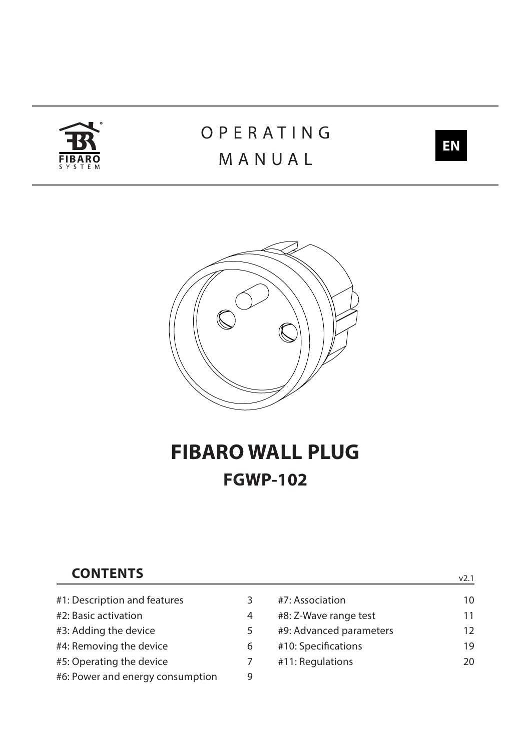

# **OPERATING** MANUAL



v2.1



# **FIBARO WALL PLUG FGWP-102**

## **CONTENTS**

| #1: Description and features     | 3 | #7: Association         | 10 |
|----------------------------------|---|-------------------------|----|
| #2: Basic activation             | 4 | #8: Z-Wave range test   | 11 |
| #3: Adding the device            | 5 | #9: Advanced parameters | 12 |
| #4: Removing the device          | 6 | #10: Specifications     | 19 |
| #5: Operating the device         |   | #11: Regulations        | 20 |
| #6: Power and energy consumption | 9 |                         |    |
|                                  |   |                         |    |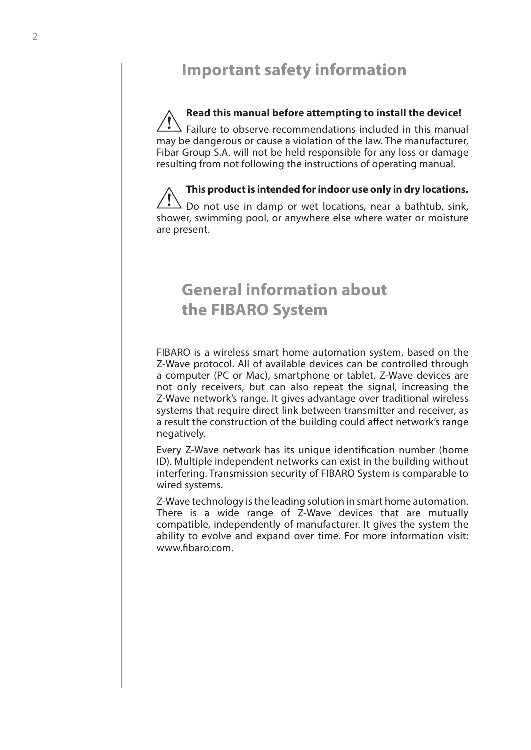## **Important safety information**

## **Read this manual before attempting to install the device!**

Failure to observe recommendations included in this manual may be dangerous or cause a violation of the law. The manufacturer, Fibar Group S.A. will not be held responsible for any loss or damage resulting from not following the instructions of operating manual. **!**

**This product is intended for indoor use only in dry locations.** Do not use in damp or wet locations, near a bathtub, sink, shower, swimming pool, or anywhere else where water or moisture are present. **!**

## **General information about the FIBARO System**

FIBARO is a wireless smart home automation system, based on the Z-Wave protocol. All of available devices can be controlled through a computer (PC or Mac), smartphone or tablet. Z-Wave devices are not only receivers, but can also repeat the signal, increasing the Z-Wave network's range. It gives advantage over traditional wireless systems that require direct link between transmitter and receiver, as a result the construction of the building could affect network's range negatively.

Every Z-Wave network has its unique identification number (home ID). Multiple independent networks can exist in the building without interfering. Transmission security of FIBARO System is comparable to wired systems.

Z-Wave technology is the leading solution in smart home automation. There is a wide range of Z-Wave devices that are mutually compatible, independently of manufacturer. It gives the system the ability to evolve and expand over time. For more information visit: www.fibaro.com.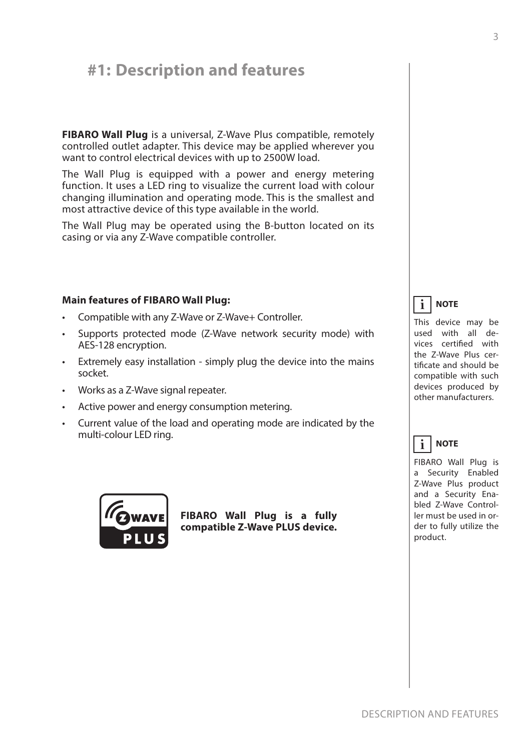## <span id="page-2-0"></span>**#1: Description and features**

**FIBARO Wall Plug** is a universal, Z-Wave Plus compatible, remotely controlled outlet adapter. This device may be applied wherever you want to control electrical devices with up to 2500W load.

The Wall Plug is equipped with a power and energy metering function. It uses a LED ring to visualize the current load with colour changing illumination and operating mode. This is the smallest and most attractive device of this type available in the world.

The Wall Plug may be operated using the B-button located on its casing or via any Z-Wave compatible controller.

### **Main features of FIBARO Wall Plug:**

- Compatible with any Z-Wave or Z-Wave+ Controller.
- Supports protected mode (Z-Wave network security mode) with AES-128 encryption.
- Extremely easy installation simply plug the device into the mains socket.
- Works as a Z-Wave signal repeater.
- Active power and energy consumption metering.
- Current value of the load and operating mode are indicated by the multi-colour LED ring.



**FIBARO Wall Plug is a fully compatible Z-Wave PLUS device.**

#### **NOTE i**

This device may be used with all devices certified with the Z-Wave Plus certificate and should be compatible with such devices produced by other manufacturers.

#### **NOTE i**

FIBARO Wall Plug is a Security Enabled Z-Wave Plus product and a Security Enabled Z-Wave Controller must be used in order to fully utilize the product.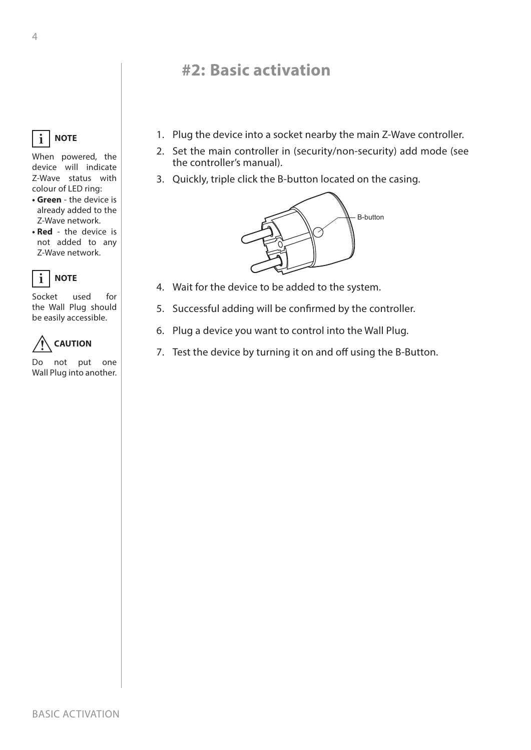## **#2: Basic activation**

- 1. Plug the device into a socket nearby the main Z-Wave controller.
- 2. Set the main controller in (security/non-security) add mode (see the controller's manual).
- 3. Quickly, triple click the B-button located on the casing.



- 4. Wait for the device to be added to the system.
- 5. Successful adding will be confirmed by the controller.
- 6. Plug a device you want to control into the Wall Plug.
- 7. Test the device by turning it on and off using the B-Button.

<span id="page-3-0"></span>

When powered, the device will indicate Z-Wave status with colour of LED ring:

- **• Green** the device is already added to the Z-Wave network.
- **• Red** the device is not added to any Z-Wave network.



Socket used for the Wall Plug should be easily accessible.



Do not put one Wall Plug into another.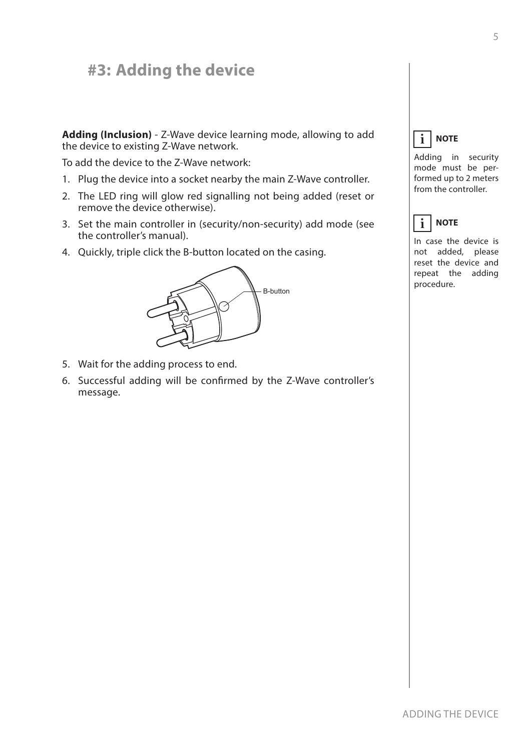## <span id="page-4-1"></span><span id="page-4-0"></span>**#3: Adding the device**

**Adding (Inclusion)** - Z-Wave device learning mode, allowing to add the device to existing Z-Wave network.

To add the device to the Z-Wave network:

- 1. Plug the device into a socket nearby the main Z-Wave controller.
- 2. The LED ring will glow red signalling not being added (reset or remove the device otherwise).
- 3. Set the main controller in (security/non-security) add mode (see the controller's manual).
- 4. Quickly, triple click the B-button located on the casing.



- 5. Wait for the adding process to end.
- 6. Successful adding will be confirmed by the Z-Wave controller's message.

#### **NOTE i**

Adding in security mode must be performed up to 2 meters from the controller.

#### **NOTE i**

In case the device is not added, please reset the device and repeat the adding procedure.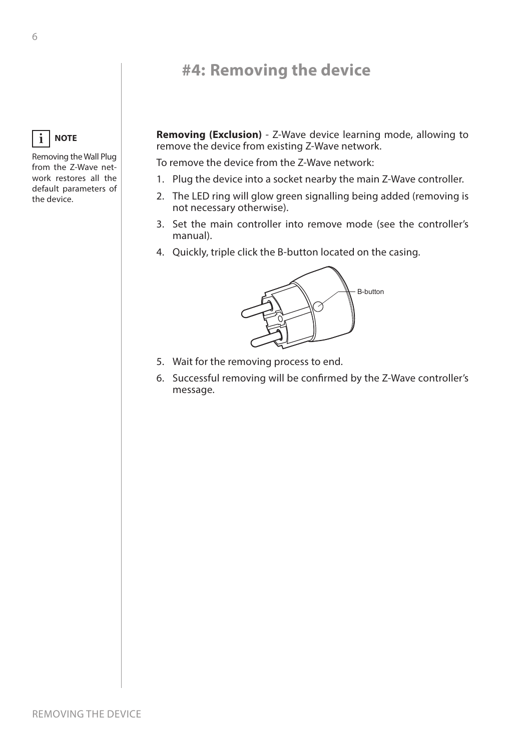## **#4: Removing the device**

<span id="page-5-0"></span>**NOTE i**

Removing the Wall Plug from the Z-Wave network restores all the default parameters of the device.

**Removing (Exclusion)** - Z-Wave device learning mode, allowing to remove the device from existing Z-Wave network.

To remove the device from the Z-Wave network:

- 1. Plug the device into a socket nearby the main Z-Wave controller.
- 2. The LED ring will glow green signalling being added (removing is not necessary otherwise).
- 3. Set the main controller into remove mode (see the controller's manual).
- 4. Quickly, triple click the B-button located on the casing.



- 5. Wait for the removing process to end.
- 6. Successful removing will be confirmed by the Z-Wave controller's message.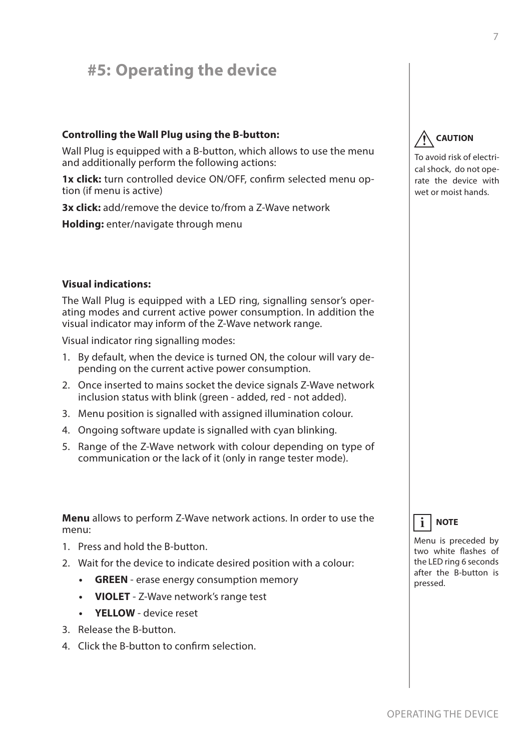## <span id="page-6-0"></span>**#5: Operating the device**

## **Controlling the Wall Plug using the B-button:**

Wall Plug is equipped with a B-button, which allows to use the menu and additionally perform the following actions:

**1x click:** turn controlled device ON/OFF, confirm selected menu option (if menu is active)

**3x click:** add/remove the device to/from a Z-Wave network

**Holding:** enter/navigate through menu

## **Visual indications:**

The Wall Plug is equipped with a LED ring, signalling sensor's operating modes and current active power consumption. In addition the visual indicator may inform of the Z-Wave network range.

Visual indicator ring signalling modes:

- 1. By default, when the device is turned ON, the colour will vary depending on the current active power consumption.
- 2. Once inserted to mains socket the device signals Z-Wave network inclusion status with blink (green - added, red - not added).
- 3. Menu position is signalled with assigned illumination colour.
- 4. Ongoing software update is signalled with cyan blinking.
- 5. Range of the Z-Wave network with colour depending on type of communication or the lack of it (only in range tester mode).

**Menu** allows to perform Z-Wave network actions. In order to use the menu:

- 1. Press and hold the B-button.
- 2. Wait for the device to indicate desired position with a colour:
	- **• GREEN** erase energy consumption memory
	- **• VIOLET** Z-Wave network's range test
	- **• YELLOW** device reset
- 3. Release the B-button.
- 4. Click the B-button to confirm selection.

#### **CAUTION !**

To avoid risk of electrical shock, do not operate the device with wet or moist hands.



Menu is preceded by two white flashes of the LED ring 6 seconds after the B-button is pressed.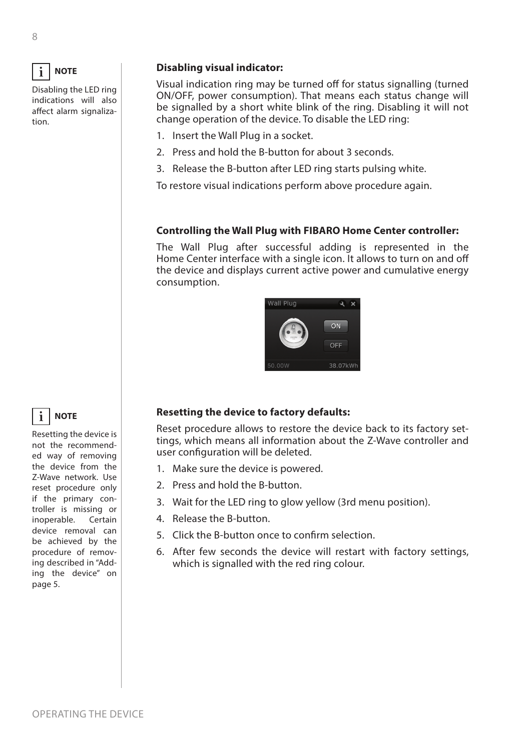

Disabling the LED ring indications will also affect alarm signalization.

## **Disabling visual indicator:**

Visual indication ring may be turned off for status signalling (turned ON/OFF, power consumption). That means each status change will be signalled by a short white blink of the ring. Disabling it will not change operation of the device. To disable the LED ring:

- 1. Insert the Wall Plug in a socket.
- 2. Press and hold the B-button for about 3 seconds.
- 3. Release the B-button after LED ring starts pulsing white.

To restore visual indications perform above procedure again.

## **Controlling the Wall Plug with FIBARO Home Center controller:**

The Wall Plug after successful adding is represented in the Home Center interface with a single icon. It allows to turn on and off the device and displays current active power and cumulative energy consumption.



## **Resetting the device to factory defaults:**

Reset procedure allows to restore the device back to its factory settings, which means all information about the Z-Wave controller and user configuration will be deleted.

- 1. Make sure the device is powered.
- 2. Press and hold the B-button.
- 3. Wait for the LED ring to glow yellow (3rd menu position).
- 4. Release the B-button.
- 5. Click the B-button once to confirm selection.
- 6. After few seconds the device will restart with factory settings, which is signalled with the red ring colour.

**NOTE i**

Resetting the device is not the recommended way of removing the device from the Z-Wave network. Use reset procedure only if the primary controller is missing or inoperable. Certain device removal can be achieved by the procedure of removing described in ["Add](#page-4-1)[ing the device" on](#page-4-1)  [page 5](#page-4-1).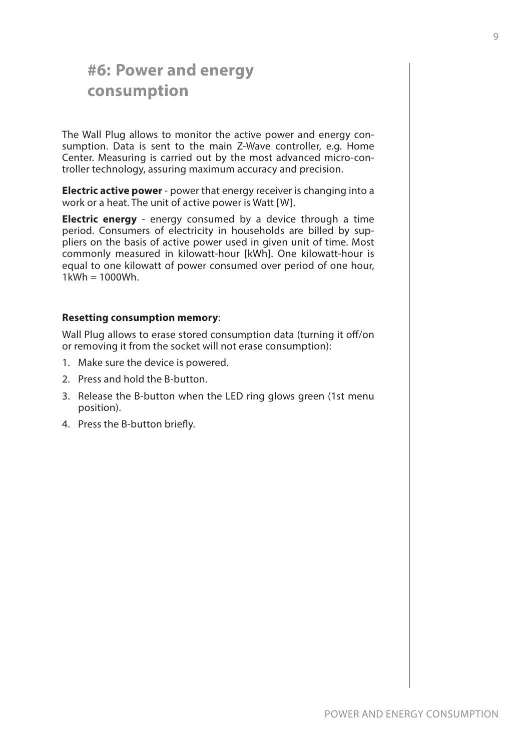## <span id="page-8-0"></span>**#6: Power and energy consumption**

The Wall Plug allows to monitor the active power and energy consumption. Data is sent to the main Z-Wave controller, e.g. Home Center. Measuring is carried out by the most advanced micro-controller technology, assuring maximum accuracy and precision.

**Electric active power** - power that energy receiver is changing into a work or a heat. The unit of active power is Watt [W].

**Electric energy** - energy consumed by a device through a time period. Consumers of electricity in households are billed by suppliers on the basis of active power used in given unit of time. Most commonly measured in kilowatt-hour [kWh]. One kilowatt-hour is equal to one kilowatt of power consumed over period of one hour,  $1$ kWh =  $1000$ Wh.

### **Resetting consumption memory**:

Wall Plug allows to erase stored consumption data (turning it off/on or removing it from the socket will not erase consumption):

- 1. Make sure the device is powered.
- 2. Press and hold the B-button.
- 3. Release the B-button when the LED ring glows green (1st menu position).
- 4. Press the B-button briefly.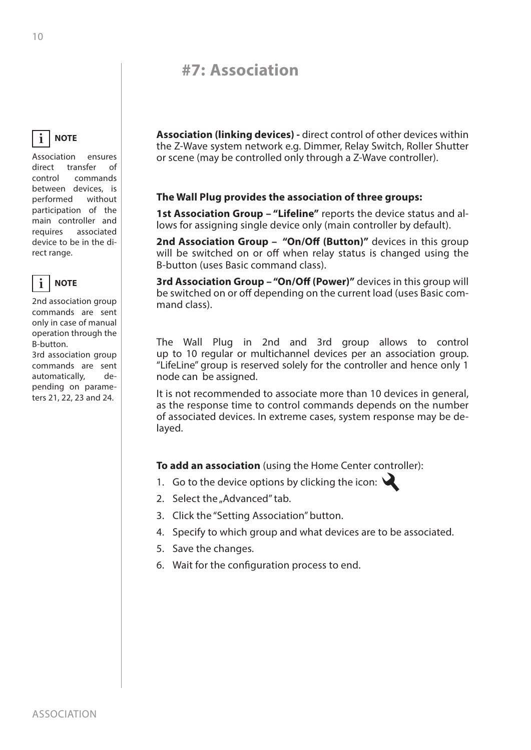## **#7: Association**

#### <span id="page-9-0"></span>**NOTE i**

Association ensures direct transfer of control commands between devices, is performed without participation of the main controller and requires associated device to be in the direct range.



2nd association group commands are sent only in case of manual operation through the B-button.

3rd association group commands are sent automatically, depending on parameters 21, 22, 23 and 24.

**Association (linking devices) -** direct control of other devices within the Z-Wave system network e.g. Dimmer, Relay Switch, Roller Shutter or scene (may be controlled only through a Z-Wave controller).

## **The Wall Plug provides the association of three groups:**

**1st Association Group – "Lifeline"** reports the device status and allows for assigning single device only (main controller by default).

**2nd Association Group – "On/Off (Button)"** devices in this group will be switched on or off when relay status is changed using the B-button (uses Basic command class).

**3rd Association Group – "On/Off (Power)"** devices in this group will be switched on or off depending on the current load (uses Basic command class).

The Wall Plug in 2nd and 3rd group allows to control up to 10 regular or multichannel devices per an association group. "LifeLine" group is reserved solely for the controller and hence only 1 node can be assigned.

It is not recommended to associate more than 10 devices in general, as the response time to control commands depends on the number of associated devices. In extreme cases, system response may be delayed.

**To add an association** (using the Home Center controller):

- 1. Go to the device options by clicking the icon:  $\mathcal{L}$
- 2. Select the "Advanced" tab.
- 3. Click the "Setting Association" button.
- 4. Specify to which group and what devices are to be associated.
- 5. Save the changes.
- 6. Wait for the configuration process to end.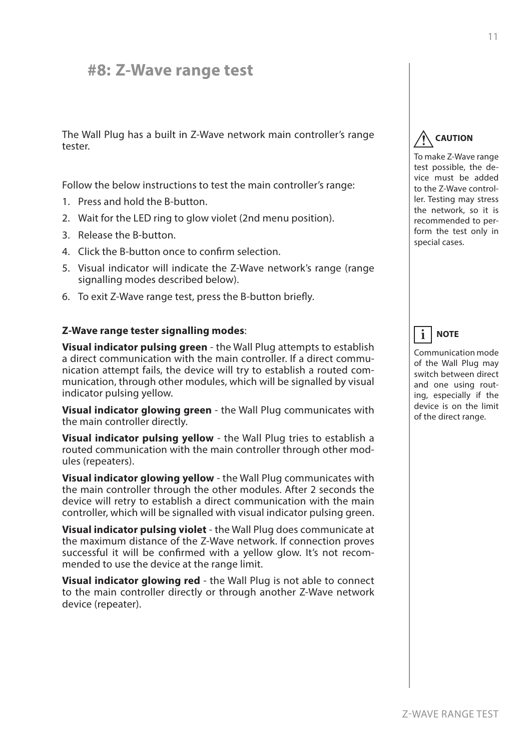## <span id="page-10-0"></span>**#8: Z-Wave range test**

The Wall Plug has a built in Z-Wave network main controller's range tester.

Follow the below instructions to test the main controller's range:

- 1. Press and hold the B-button.
- 2. Wait for the LED ring to glow violet (2nd menu position).
- 3. Release the B-button.
- 4. Click the B-button once to confirm selection.
- 5. Visual indicator will indicate the Z-Wave network's range (range signalling modes described below).
- 6. To exit Z-Wave range test, press the B-button briefly.

### **Z-Wave range tester signalling modes**:

**Visual indicator pulsing green** - the Wall Plug attempts to establish a direct communication with the main controller. If a direct communication attempt fails, the device will try to establish a routed communication, through other modules, which will be signalled by visual indicator pulsing yellow.

**Visual indicator glowing green** - the Wall Plug communicates with the main controller directly.

**Visual indicator pulsing yellow** - the Wall Plug tries to establish a routed communication with the main controller through other modules (repeaters).

**Visual indicator glowing yellow** - the Wall Plug communicates with the main controller through the other modules. After 2 seconds the device will retry to establish a direct communication with the main controller, which will be signalled with visual indicator pulsing green.

**Visual indicator pulsing violet** - the Wall Plug does communicate at the maximum distance of the Z-Wave network. If connection proves successful it will be confirmed with a yellow glow. It's not recommended to use the device at the range limit.

**Visual indicator glowing red** - the Wall Plug is not able to connect to the main controller directly or through another Z-Wave network device (repeater).

#### **CAUTION !**

To make Z-Wave range test possible, the device must be added to the Z-Wave controller. Testing may stress the network, so it is recommended to perform the test only in special cases.

#### **NOTE i**

Communication mode of the Wall Plug may switch between direct and one using routing, especially if the device is on the limit of the direct range.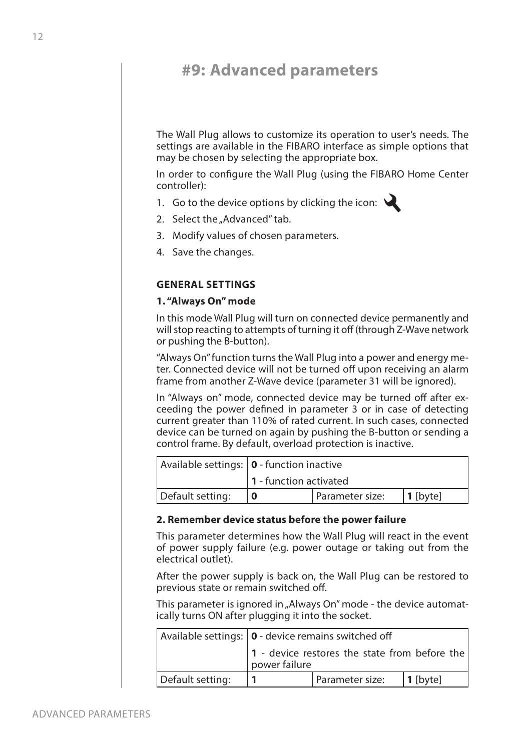## <span id="page-11-0"></span>**#9: Advanced parameters**

The Wall Plug allows to customize its operation to user's needs. The settings are available in the FIBARO interface as simple options that may be chosen by selecting the appropriate box.

In order to configure the Wall Plug (using the FIBARO Home Center controller):

- 1. Go to the device options by clicking the icon:  $\mathbf{\leq}$
- 2. Select the "Advanced" tab.
- 3. Modify values of chosen parameters.
- 4. Save the changes.

## **GENERAL SETTINGS**

### **1. "Always On" mode**

In this mode Wall Plug will turn on connected device permanently and will stop reacting to attempts of turning it off (through Z-Wave network or pushing the B-button).

"Always On" function turns the Wall Plug into a power and energy meter. Connected device will not be turned off upon receiving an alarm frame from another Z-Wave device (parameter 31 will be ignored).

In "Always on" mode, connected device may be turned off after exceeding the power defined in parameter 3 or in case of detecting current greater than 110% of rated current. In such cases, connected device can be turned on again by pushing the B-button or sending a control frame. By default, overload protection is inactive.

|                  | Available settings:   0 - function inactive |                 |          |
|------------------|---------------------------------------------|-----------------|----------|
|                  | 1 - function activated                      |                 |          |
| Default setting: |                                             | Parameter size: | 1 [byte] |

### **2. Remember device status before the power failure**

This parameter determines how the Wall Plug will react in the event of power supply failure (e.g. power outage or taking out from the electrical outlet).

After the power supply is back on, the Wall Plug can be restored to previous state or remain switched off.

This parameter is ignored in "Always On" mode - the device automatically turns ON after plugging it into the socket.

|                  | Available settings:   0 - device remains switched off          |                 |          |
|------------------|----------------------------------------------------------------|-----------------|----------|
|                  | 1 - device restores the state from before the<br>power failure |                 |          |
| Default setting: |                                                                | Parameter size: | 1 [byte] |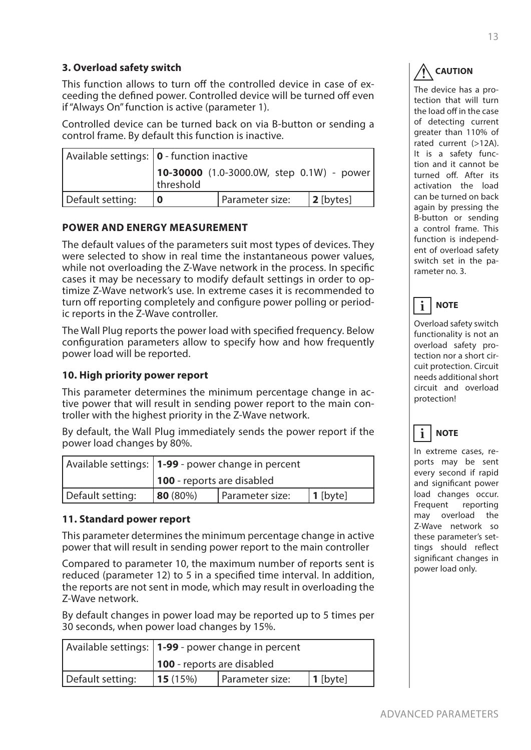## **3. Overload safety switch**

This function allows to turn off the controlled device in case of exceeding the defined power. Controlled device will be turned off even if "Always On" function is active (parameter 1).

Controlled device can be turned back on via B-button or sending a control frame. By default this function is inactive.

|                  | Available settings:   0 - function inactive                               |                 |              |
|------------------|---------------------------------------------------------------------------|-----------------|--------------|
|                  | $ 10-30000(1.0-3000.0W, \text{ step } 0.1W) - \text{power} $<br>threshold |                 |              |
| Default setting: |                                                                           | Parameter size: | $ 2$ [bytes] |

## **POWER AND ENERGY MEASUREMENT**

The default values of the parameters suit most types of devices. They were selected to show in real time the instantaneous power values, while not overloading the Z-Wave network in the process. In specific cases it may be necessary to modify default settings in order to optimize Z-Wave network's use. In extreme cases it is recommended to turn off reporting completely and configure power polling or periodic reports in the Z-Wave controller.

The Wall Plug reports the power load with specified frequency. Below configuration parameters allow to specify how and how frequently power load will be reported.

## **10. High priority power report**

This parameter determines the minimum percentage change in active power that will result in sending power report to the main controller with the highest priority in the Z-Wave network.

By default, the Wall Plug immediately sends the power report if the power load changes by 80%.

|                  | Available settings:   1-99 - power change in percent |                 |             |
|------------------|------------------------------------------------------|-----------------|-------------|
|                  | <b>100</b> - reports are disabled                    |                 |             |
| Default setting: | $ 80(80\%)$                                          | Parameter size: | $ 1$ [byte] |

## **11. Standard power report**

This parameter determines the minimum percentage change in active power that will result in sending power report to the main controller

Compared to parameter 10, the maximum number of reports sent is reduced (parameter 12) to 5 in a specified time interval. In addition, the reports are not sent in mode, which may result in overloading the Z-Wave network.

By default changes in power load may be reported up to 5 times per 30 seconds, when power load changes by 15%.

|                  | Available settings:   1-99 - power change in percent |                 |            |
|------------------|------------------------------------------------------|-----------------|------------|
|                  | 100 - reports are disabled                           |                 |            |
| Default setting: | 15(15%)                                              | Parameter size: | $1$ [byte] |

### **CAUTION !**

The device has a protection that will turn the load off in the case of detecting current greater than 110% of rated current (>12A). It is a safety function and it cannot be turned off. After its activation the load can be turned on back again by pressing the B-button or sending a control frame. This function is independent of overload safety switch set in the parameter no. 3.

#### **NOTE i**

Overload safety switch functionality is not an overload safety protection nor a short circuit protection. Circuit needs additional short circuit and overload protection!



In extreme cases, reports may be sent every second if rapid and significant power load changes occur. Frequent reporting may overload the Z-Wave network so these parameter's settings should reflect significant changes in power load only.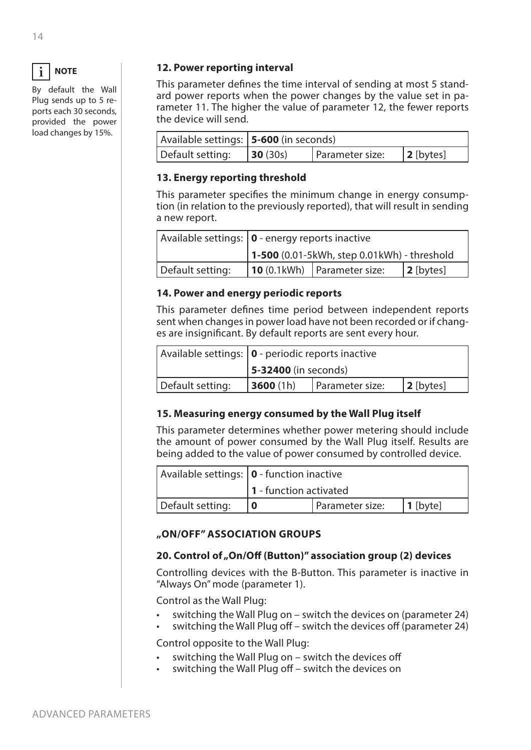|--|--|

By default the Wall Plug sends up to 5 reports each 30 seconds, provided the power load changes by 15%.

## **12. Power reporting interval**

This parameter defines the time interval of sending at most 5 standard power reports when the power changes by the value set in parameter 11. The higher the value of parameter 12, the fewer reports the device will send.

|                  | Available settings:   5-600 (in seconds) |                 |              |
|------------------|------------------------------------------|-----------------|--------------|
| Default setting: | 30(30s)                                  | Parameter size: | $ 2$ [bytes] |

## **13. Energy reporting threshold**

This parameter specifies the minimum change in energy consumption (in relation to the previously reported), that will result in sending a new report.

|                  | Available settings:   0 - energy reports inactive |                                       |              |
|------------------|---------------------------------------------------|---------------------------------------|--------------|
|                  | $1 - 500$ (0.01-5kWh, step 0.01kWh) - threshold   |                                       |              |
| Default setting: |                                                   | $\vert$ 10 (0.1kWh)   Parameter size: | $ 2$ [bytes] |

## **14. Power and energy periodic reports**

This parameter defines time period between independent reports sent when changes in power load have not been recorded or if changes are insignificant. By default reports are sent every hour.

|                  | Available settings:   0 - periodic reports inactive |  |  |
|------------------|-----------------------------------------------------|--|--|
|                  | $\vert$ 5-32400 (in seconds)                        |  |  |
| Default setting: | 3600(1h)<br>Parameter size:<br>$ 2$ [bytes]         |  |  |

## **15. Measuring energy consumed by the Wall Plug itself**

This parameter determines whether power metering should include the amount of power consumed by the Wall Plug itself. Results are being added to the value of power consumed by controlled device.

|                  | Available settings: $\vert \mathbf{0} \vert$ - function inactive |                 |          |
|------------------|------------------------------------------------------------------|-----------------|----------|
|                  | $\vert$ 1 - function activated                                   |                 |          |
| Default setting: |                                                                  | Parameter size: | 1 [byte] |

## **"ON/OFF" ASSOCIATION GROUPS**

## 20. Control of "On/Off (Button)" association group (2) devices

Controlling devices with the B-Button. This parameter is inactive in "Always On" mode (parameter 1).

Control as the Wall Plug:

- switching the Wall Plug on switch the devices on (parameter 24)
- switching the Wall Plug off switch the devices off (parameter 24)

Control opposite to the Wall Plug:

- switching the Wall Plug on switch the devices off
- switching the Wall Plug off switch the devices on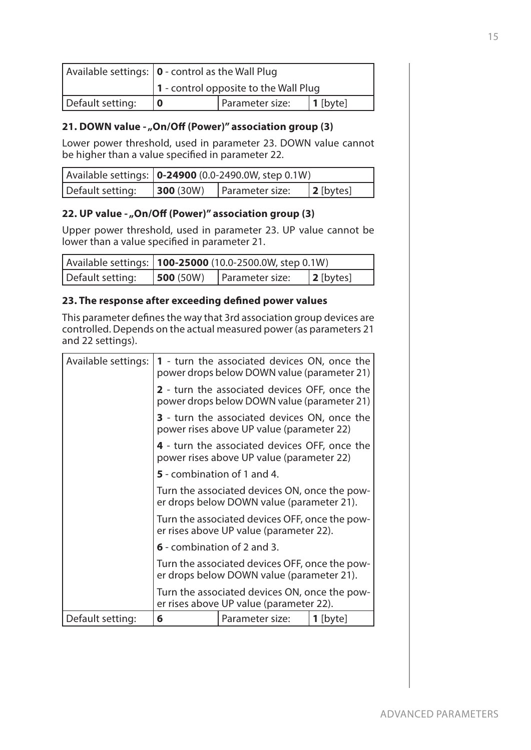|                  | Available settings: $ 0 \cdot \text{control}$ as the Wall Plug |                 |                  |
|------------------|----------------------------------------------------------------|-----------------|------------------|
|                  | $\vert$ 1 - control opposite to the Wall Plug                  |                 |                  |
| Default setting: |                                                                | Parameter size: | $\vert$ 1 [byte] |

## 21. DOWN value - "On/Off (Power)" association group (3)

Lower power threshold, used in parameter 23. DOWN value cannot be higher than a value specified in parameter 22.

|                  | Available settings: <b>0-24900</b> (0.0-2490.0W, step 0.1W) |                 |              |
|------------------|-------------------------------------------------------------|-----------------|--------------|
| Default setting: | 300 (30W)                                                   | Parameter size: | $ 2$ [bytes] |

## 22. UP value - "On/Off (Power)" association group (3)

Upper power threshold, used in parameter 23. UP value cannot be lower than a value specified in parameter 21.

|                  | Available settings:   100-25000 (10.0-2500.0W, step 0.1W) |                 |                   |
|------------------|-----------------------------------------------------------|-----------------|-------------------|
| Default setting: | 500(50W)                                                  | Parameter size: | $\vert$ 2 [bytes] |

## **23. The response after exceeding defined power values**

This parameter defines the way that 3rd association group devices are controlled. Depends on the actual measured power (as parameters 21 and 22 settings).

| Default setting:    | 6                                                                                                                                                                                                       | Parameter size: | $1$ [byte] |  |
|---------------------|---------------------------------------------------------------------------------------------------------------------------------------------------------------------------------------------------------|-----------------|------------|--|
|                     | Turn the associated devices ON, once the pow-<br>er rises above UP value (parameter 22).                                                                                                                |                 |            |  |
|                     | Turn the associated devices OFF, once the pow-<br>er drops below DOWN value (parameter 21).                                                                                                             |                 |            |  |
|                     | 6 - combination of 2 and 3.                                                                                                                                                                             |                 |            |  |
|                     | Turn the associated devices ON, once the pow-<br>er drops below DOWN value (parameter 21).<br>Turn the associated devices OFF, once the pow-<br>er rises above UP value (parameter 22).                 |                 |            |  |
|                     |                                                                                                                                                                                                         |                 |            |  |
|                     | 5 - combination of 1 and 4.                                                                                                                                                                             |                 |            |  |
|                     | 4 - turn the associated devices OFF, once the<br>power rises above UP value (parameter 22)                                                                                                              |                 |            |  |
|                     | <b>2</b> - turn the associated devices OFF, once the<br>power drops below DOWN value (parameter 21)<br><b>3</b> - turn the associated devices ON, once the<br>power rises above UP value (parameter 22) |                 |            |  |
|                     |                                                                                                                                                                                                         |                 |            |  |
| Available settings: | <b>1</b> - turn the associated devices ON, once the<br>power drops below DOWN value (parameter 21)                                                                                                      |                 |            |  |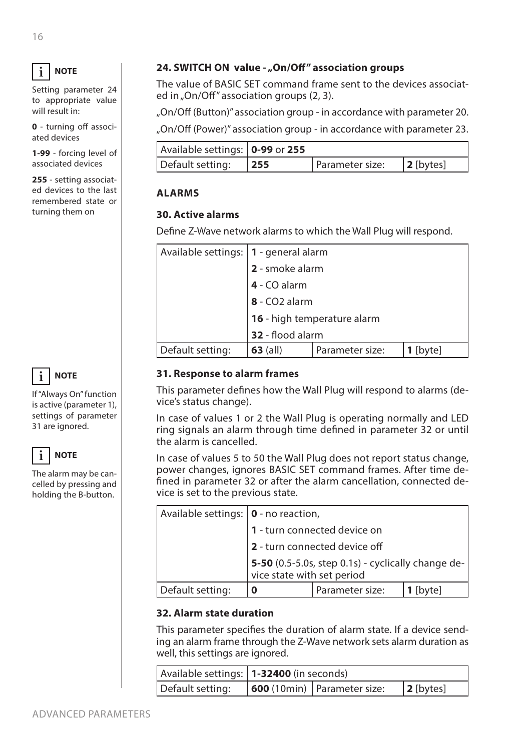#### **NOTE i**

Setting parameter 24 to appropriate value will result in:

**0** - turning off associated devices

**1-99** - forcing level of associated devices

**255** - setting associated devices to the last remembered state or turning them on



If "Always On" function is active (parameter 1), settings of parameter 31 are ignored.



The alarm may be cancelled by pressing and holding the B-button.

## 24. SWITCH ON value - "On/Off" association groups

The value of BASIC SET command frame sent to the devices associated in "On/Off" association groups (2, 3).

"On/Off (Button)" association group - in accordance with parameter 20.

"On/Off (Power)" association group - in accordance with parameter 23.

| Available settings:   0-99 or 255 |     |                 |              |
|-----------------------------------|-----|-----------------|--------------|
| Default setting:                  | 255 | Parameter size: | $ 2$ [bytes] |

## **ALARMS**

## **30. Active alarms**

Define Z-Wave network alarms to which the Wall Plug will respond.

| Available settings:   1 - general alarm |                                             |  |  |  |  |
|-----------------------------------------|---------------------------------------------|--|--|--|--|
|                                         | 2 - smoke alarm                             |  |  |  |  |
|                                         | 4 - CO alarm                                |  |  |  |  |
|                                         | 8 - CO2 alarm                               |  |  |  |  |
|                                         | 16 - high temperature alarm                 |  |  |  |  |
|                                         | 32 - flood alarm                            |  |  |  |  |
| Default setting:                        | $63$ (all)<br>Parameter size:<br>$1$ [byte] |  |  |  |  |

## **31. Response to alarm frames**

This parameter defines how the Wall Plug will respond to alarms (device's status change).

In case of values 1 or 2 the Wall Plug is operating normally and LED ring signals an alarm through time defined in parameter 32 or until the alarm is cancelled.

In case of values 5 to 50 the Wall Plug does not report status change, power changes, ignores BASIC SET command frames. After time defined in parameter 32 or after the alarm cancellation, connected device is set to the previous state.

| Available settings:   0 - no reaction, |                                                                        |                 |        |  |
|----------------------------------------|------------------------------------------------------------------------|-----------------|--------|--|
|                                        | 1 - turn connected device on                                           |                 |        |  |
|                                        | 2 - turn connected device off                                          |                 |        |  |
|                                        | $\left  \frac{\text{5-50}}{\text{vice state with set period}} \right $ |                 |        |  |
| Default setting:                       |                                                                        | Parameter size: | [byte] |  |

## **32. Alarm state duration**

This parameter specifies the duration of alarm state. If a device sending an alarm frame through the Z-Wave network sets alarm duration as well, this settings are ignored.

|                  | Available settings:   1-32400 (in seconds) |                                     |              |
|------------------|--------------------------------------------|-------------------------------------|--------------|
| Default setting: |                                            | $\vert$ 600 (10min) Parameter size: | $ 2$ [bytes] |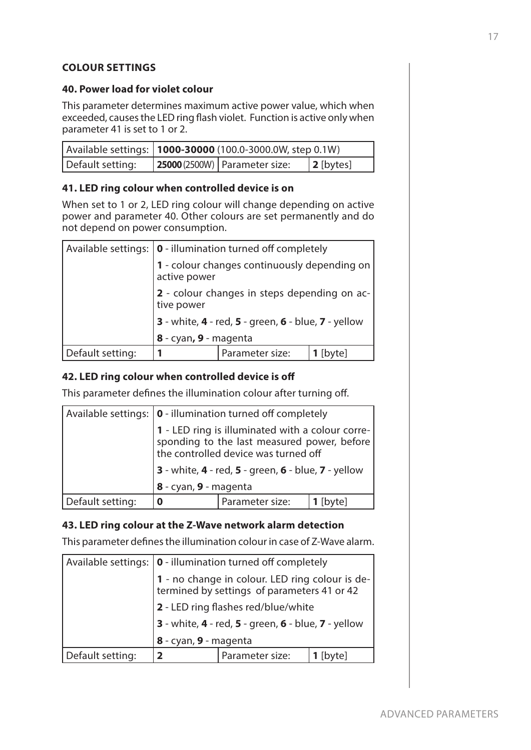## **COLOUR SETTINGS**

## **40. Power load for violet colour**

This parameter determines maximum active power value, which when exceeded, causes the LED ring flash violet. Function is active only when parameter 41 is set to 1 or 2.

|                  | Available settings:   1000-30000 (100.0-3000.0W, step 0.1W) |                                 |              |
|------------------|-------------------------------------------------------------|---------------------------------|--------------|
| Default setting: |                                                             | 25000 (2500W)   Parameter size: | $ 2$ [bytes] |

## **41. LED ring colour when controlled device is on**

When set to 1 or 2, LED ring colour will change depending on active power and parameter 40. Other colours are set permanently and do not depend on power consumption.

|                  | Available settings:   0 - illumination turned off completely |                 |            |  |  |
|------------------|--------------------------------------------------------------|-----------------|------------|--|--|
|                  | 1 - colour changes continuously depending on<br>active power |                 |            |  |  |
|                  | 2 - colour changes in steps depending on ac-<br>tive power   |                 |            |  |  |
|                  | 3 - white, 4 - red, 5 - green, 6 - blue, 7 - yellow          |                 |            |  |  |
|                  | 8 - cyan, 9 - magenta                                        |                 |            |  |  |
| Default setting: |                                                              | Parameter size: | $1$ [byte] |  |  |

### **42. LED ring colour when controlled device is off**

This parameter defines the illumination colour after turning off.

|                  | Available settings:   0 - illumination turned off completely                                                                                 |                 |            |  |
|------------------|----------------------------------------------------------------------------------------------------------------------------------------------|-----------------|------------|--|
|                  | 1 - LED ring is illuminated with a colour corre-<br>sponding to the last measured power, before $\vert$ the controlled device was turned off |                 |            |  |
|                  | <b>3</b> - white, <b>4</b> - red, <b>5</b> - green, <b>6</b> - blue, <b>7</b> - yellow                                                       |                 |            |  |
|                  | 8 - cyan, 9 - magenta                                                                                                                        |                 |            |  |
| Default setting: | Ω                                                                                                                                            | Parameter size: | $1$ [byte] |  |

## **43. LED ring colour at the Z-Wave network alarm detection**

This parameter defines the illumination colour in case of Z-Wave alarm.

|                  | Available settings:   0 - illumination turned off completely                                   |                 |            |  |  |
|------------------|------------------------------------------------------------------------------------------------|-----------------|------------|--|--|
|                  | 1 - no change in colour. LED ring colour is de-<br>termined by settings of parameters 41 or 42 |                 |            |  |  |
|                  | 2 - LED ring flashes red/blue/white                                                            |                 |            |  |  |
|                  | 3 - white, 4 - red, 5 - green, 6 - blue, 7 - yellow                                            |                 |            |  |  |
|                  | 8 - cyan, 9 - magenta                                                                          |                 |            |  |  |
| Default setting: | $\overline{\mathbf{2}}$                                                                        | Parameter size: | $1$ [byte] |  |  |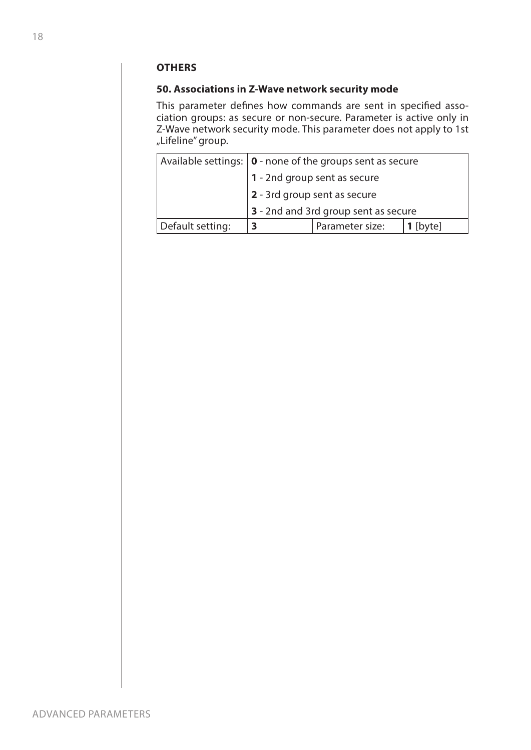## **OTHERS**

## **50. Associations in Z-Wave network security mode**

This parameter defines how commands are sent in specified association groups: as secure or non-secure. Parameter is active only in Z-Wave network security mode. This parameter does not apply to 1st "Lifeline" group.

|                  | Available settings: $ 0 \cdot$ none of the groups sent as secure |                 |        |  |
|------------------|------------------------------------------------------------------|-----------------|--------|--|
|                  | 1 - 2nd group sent as secure                                     |                 |        |  |
|                  | 2 - 3rd group sent as secure                                     |                 |        |  |
|                  | 3 - 2nd and 3rd group sent as secure                             |                 |        |  |
| Default setting: | 3                                                                | Parameter size: | [byte] |  |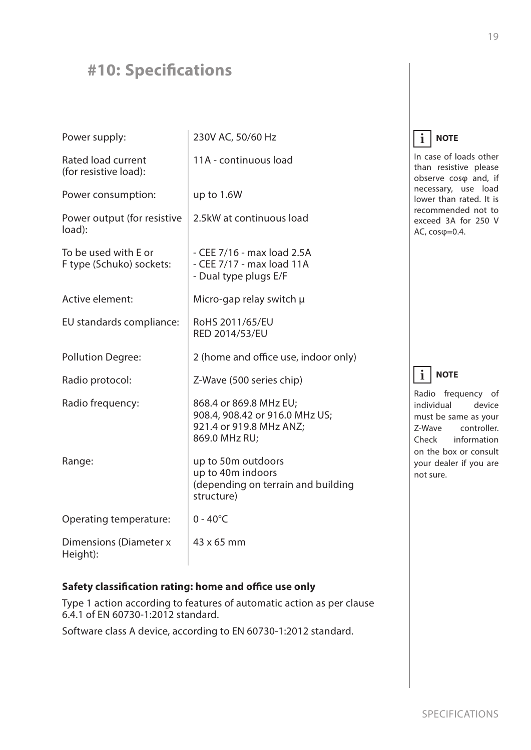## <span id="page-18-0"></span>**#10: Specifications**

| Power supply:                                    | 230V AC, 50/60 Hz                                                                                    |
|--------------------------------------------------|------------------------------------------------------------------------------------------------------|
| Rated load current<br>(for resistive load):      | 11A - continuous load                                                                                |
| Power consumption:                               | up to 1.6W                                                                                           |
| Power output (for resistive<br>load):            | 2.5kW at continuous load                                                                             |
| To be used with E or<br>F type (Schuko) sockets: | - CEE 7/16 - max load 2.5A<br>- CEE 7/17 - max load 11A<br>- Dual type plugs E/F                     |
| Active element:                                  | Micro-gap relay switch µ                                                                             |
| EU standards compliance:                         | RoHS 2011/65/EU<br>RED 2014/53/EU                                                                    |
| <b>Pollution Degree:</b>                         | 2 (home and office use, indoor only)                                                                 |
| Radio protocol:                                  | Z-Wave (500 series chip)                                                                             |
| Radio frequency:                                 | 868.4 or 869.8 MHz EU;<br>908.4, 908.42 or 916.0 MHz US;<br>921.4 or 919.8 MHz ANZ;<br>869.0 MHz RU; |
| Range:                                           | up to 50m outdoors<br>up to 40m indoors<br>(depending on terrain and building<br>structure)          |
| Operating temperature:                           | $0 - 40^{\circ}C$                                                                                    |
| <b>Dimensions (Diameter x</b><br>Height):        | 43 x 65 mm                                                                                           |

#### **NOTE i**

In case of loads other than resistive please observe cosφ and, if necessary, use load lower than rated. It is recommended not to exceed 3A for 250 V AC, cosφ=0.4.

#### **NOTE i**

Radio frequency of individual device must be same as your Z-Wave controller. Check information on the box or consult your dealer if you are not sure.

## **Safety classification rating: home and office use only**

Type 1 action according to features of automatic action as per clause 6.4.1 of EN 60730-1:2012 standard.

Software class A device, according to EN 60730-1:2012 standard.